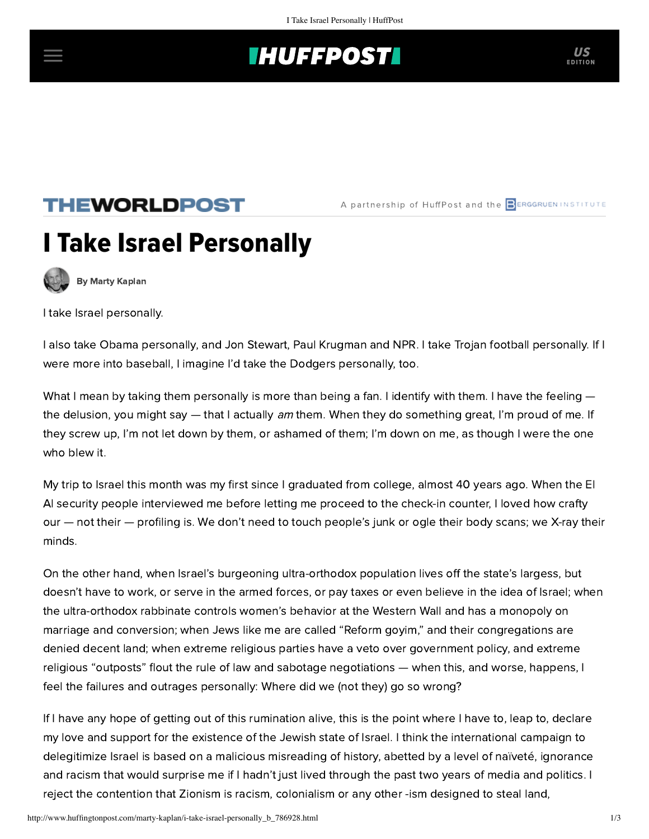## **INUFFPOST**

## **THEWORLDPOST**

A partnership of HuffPost and the **BERGGRUEN INSTITUTE** 

# I Take Israel Personally



[By Marty Kaplan](http://www.huffingtonpost.com/author/marty-kaplan)

I take Israel personally.

I also take Obama personally, and Jon Stewart, Paul Krugman and NPR. I take Trojan football personally. If I were more into baseball, I imagine I'd take the Dodgers personally, too.

What I mean by taking them personally is more than being a fan. I identify with them. I have the feeling the delusion, you might say  $-$  that I actually *am* them. When they do something great, I'm proud of me. If they screw up, I'm not let down by them, or ashamed of them; I'm down on me, as though I were the one who blew it.

My trip to Israel this month was my first since I graduated from college, almost 40 years ago. When the El Al security people interviewed me before letting me proceed to the check-in counter, I loved how crafty our — not their — profiling is. We don't need to touch people's junk or ogle their body scans; we X-ray their minds.

On the other hand, when Israel's burgeoning ultra-orthodox population lives off the state's largess, but doesn't have to work, or serve in the armed forces, or pay taxes or even believe in the idea of Israel; when the ultra-orthodox rabbinate controls women's behavior at the Western Wall and has a monopoly on marriage and conversion; when Jews like me are called "Reform goyim," and their congregations are denied decent land; when extreme religious parties have a veto over government policy, and extreme religious "outposts" flout the rule of law and sabotage negotiations — when this, and worse, happens, I feel the failures and outrages personally: Where did we (not they) go so wrong?

If I have any hope of getting out of this rumination alive, this is the point where I have to, leap to, declare my love and support for the existence of the Jewish state of Israel. I think the international campaign to delegitimize Israel is based on a malicious misreading of history, abetted by a level of naïveté, ignorance and racism that would surprise me if I hadn't just lived through the past two years of media and politics. I reject the contention that Zionism is racism, colonialism or any other -ism designed to steal land,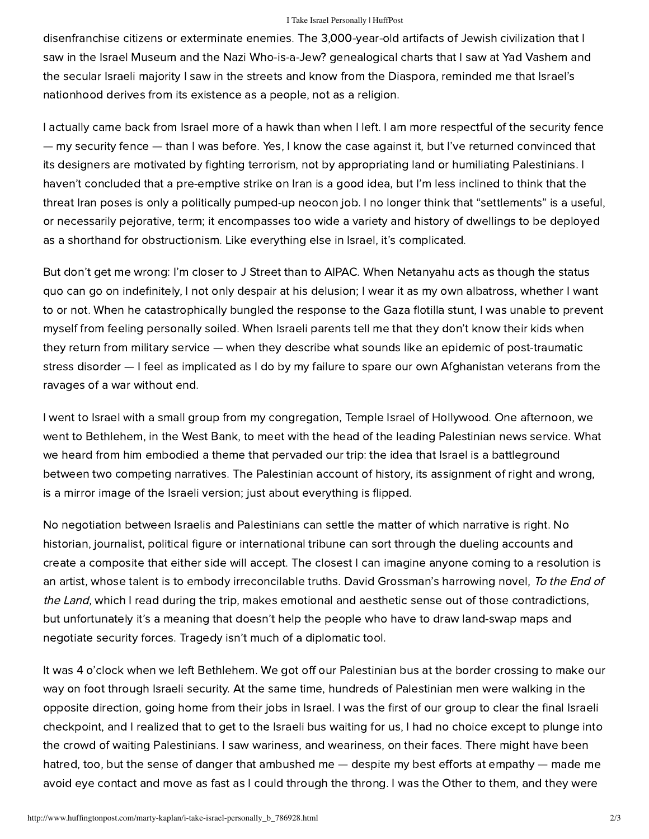#### I Take Israel Personally | HuffPost

disenfranchise citizens or exterminate enemies. The 3,000-year-old artifacts of Jewish civilization that I saw in the Israel Museum and the Nazi Who-is-a-Jew? genealogical charts that I saw at Yad Vashem and the secular Israeli majority I saw in the streets and know from the Diaspora, reminded me that Israel's nationhood derives from its existence as a people, not as a religion.

I actually came back from Israel more of a hawk than when I left. I am more respectful of the security fence — my security fence — than I was before. Yes, I know the case against it, but I've returned convinced that its designers are motivated by fighting terrorism, not by appropriating land or humiliating Palestinians. I haven't concluded that a pre-emptive strike on Iran is a good idea, but I'm less inclined to think that the threat Iran poses is only a politically pumped-up neocon job. I no longer think that "settlements" is a useful, or necessarily pejorative, term; it encompasses too wide a variety and history of dwellings to be deployed as a shorthand for obstructionism. Like everything else in Israel, it's complicated.

But don't get me wrong: I'm closer to J Street than to AIPAC. When Netanyahu acts as though the status quo can go on indefinitely, I not only despair at his delusion; I wear it as my own albatross, whether I want to or not. When he catastrophically bungled the response to the Gaza flotilla stunt, I was unable to prevent myself from feeling personally soiled. When Israeli parents tell me that they don't know their kids when they return from military service — when they describe what sounds like an epidemic of post-traumatic stress disorder — I feel as implicated as I do by my failure to spare our own Afghanistan veterans from the ravages of a war without end.

I went to Israel with a small group from my congregation, Temple Israel of Hollywood. One afternoon, we went to Bethlehem, in the West Bank, to meet with the head of the leading Palestinian news service. What we heard from him embodied a theme that pervaded our trip: the idea that Israel is a battleground between two competing narratives. The Palestinian account of history, its assignment of right and wrong, is a mirror image of the Israeli version; just about everything is flipped.

No negotiation between Israelis and Palestinians can settle the matter of which narrative is right. No historian, journalist, political figure or international tribune can sort through the dueling accounts and create a composite that either side will accept. The closest I can imagine anyone coming to a resolution is an artist, whose talent is to embody irreconcilable truths. David Grossman's harrowing novel, To the End of the Land, which I read during the trip, makes emotional and aesthetic sense out of those contradictions, but unfortunately it's a meaning that doesn't help the people who have to draw land-swap maps and negotiate security forces. Tragedy isn't much of a diplomatic tool.

It was 4 o'clock when we left Bethlehem. We got off our Palestinian bus at the border crossing to make our way on foot through Israeli security. At the same time, hundreds of Palestinian men were walking in the opposite direction, going home from their jobs in Israel. I was the first of our group to clear the final Israeli checkpoint, and I realized that to get to the Israeli bus waiting for us, I had no choice except to plunge into the crowd of waiting Palestinians. I saw wariness, and weariness, on their faces. There might have been hatred, too, but the sense of danger that ambushed me — despite my best efforts at empathy — made me avoid eye contact and move as fast as I could through the throng. I was the Other to them, and they were